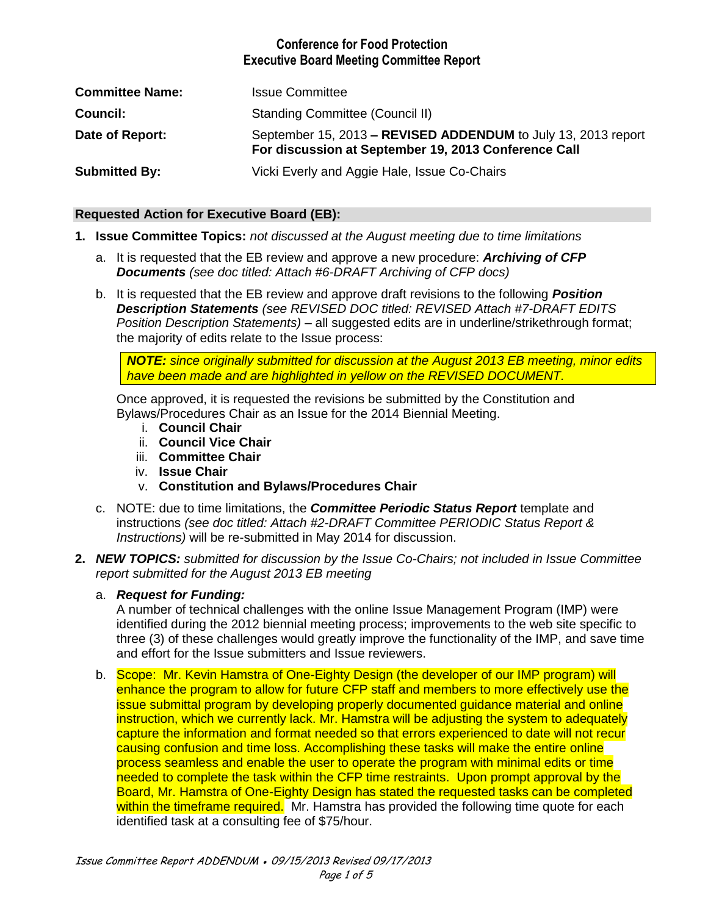# **Conference for Food Protection Executive Board Meeting Committee Report**

| <b>Committee Name:</b> | <b>Issue Committee</b>                                                                                                |
|------------------------|-----------------------------------------------------------------------------------------------------------------------|
| Council:               | <b>Standing Committee (Council II)</b>                                                                                |
| Date of Report:        | September 15, 2013 - REVISED ADDENDUM to July 13, 2013 report<br>For discussion at September 19, 2013 Conference Call |
| <b>Submitted By:</b>   | Vicki Everly and Aggie Hale, Issue Co-Chairs                                                                          |

#### **Requested Action for Executive Board (EB):**

- **1. Issue Committee Topics:** *not discussed at the August meeting due to time limitations*
	- a. It is requested that the EB review and approve a new procedure: *Archiving of CFP Documents (see doc titled: Attach #6-DRAFT Archiving of CFP docs)*
	- b. It is requested that the EB review and approve draft revisions to the following *Position Description Statements (see REVISED DOC titled: REVISED Attach #7-DRAFT EDITS Position Description Statements)* – all suggested edits are in underline/strikethrough format; the majority of edits relate to the Issue process:

*NOTE: since originally submitted for discussion at the August 2013 EB meeting, minor edits have been made and are highlighted in yellow on the REVISED DOCUMENT.*

Once approved, it is requested the revisions be submitted by the Constitution and Bylaws/Procedures Chair as an Issue for the 2014 Biennial Meeting.

- i. **Council Chair**
- ii. **Council Vice Chair**
- iii. **Committee Chair**
- iv. **Issue Chair**
- v. **Constitution and Bylaws/Procedures Chair**
- c. NOTE: due to time limitations, the *Committee Periodic Status Report* template and instructions *(see doc titled: Attach #2-DRAFT Committee PERIODIC Status Report & Instructions)* will be re-submitted in May 2014 for discussion.
- **2.** *NEW TOPICS: submitted for discussion by the Issue Co-Chairs; not included in Issue Committee report submitted for the August 2013 EB meeting*

#### a. *Request for Funding:*

A number of technical challenges with the online Issue Management Program (IMP) were identified during the 2012 biennial meeting process; improvements to the web site specific to three (3) of these challenges would greatly improve the functionality of the IMP, and save time and effort for the Issue submitters and Issue reviewers.

b. Scope: Mr. Kevin Hamstra of One-Eighty Design (the developer of our IMP program) will enhance the program to allow for future CFP staff and members to more effectively use the issue submittal program by developing properly documented guidance material and online instruction, which we currently lack. Mr. Hamstra will be adjusting the system to adequately capture the information and format needed so that errors experienced to date will not recur causing confusion and time loss. Accomplishing these tasks will make the entire online process seamless and enable the user to operate the program with minimal edits or time needed to complete the task within the CFP time restraints. Upon prompt approval by the Board, Mr. Hamstra of One-Eighty Design has stated the requested tasks can be completed within the timeframe required. Mr. Hamstra has provided the following time quote for each identified task at a consulting fee of \$75/hour.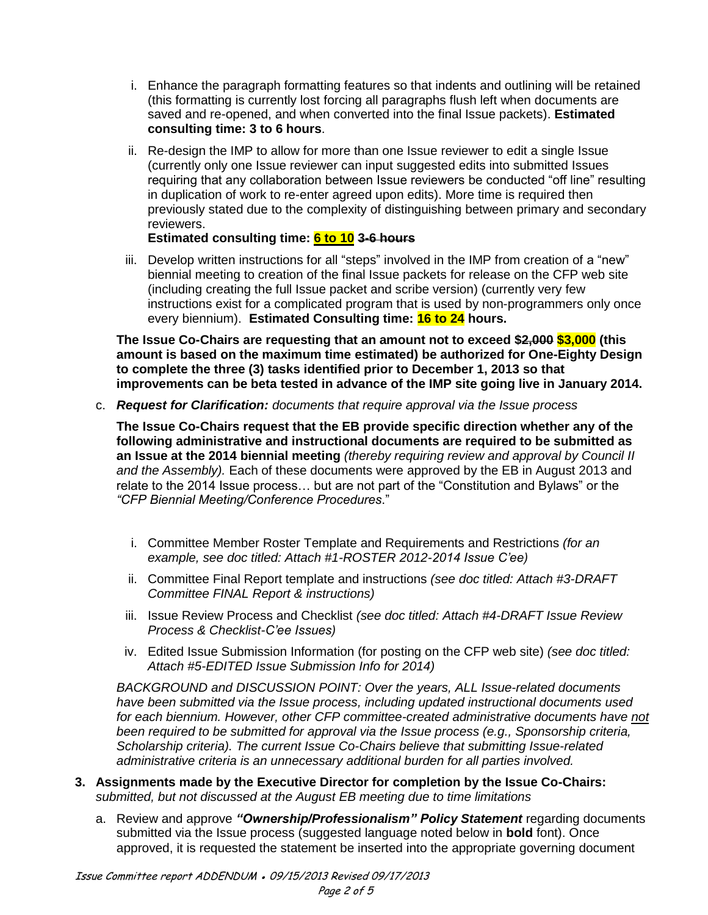- i. Enhance the paragraph formatting features so that indents and outlining will be retained (this formatting is currently lost forcing all paragraphs flush left when documents are saved and re-opened, and when converted into the final Issue packets). **Estimated consulting time: 3 to 6 hours**.
- ii. Re-design the IMP to allow for more than one Issue reviewer to edit a single Issue (currently only one Issue reviewer can input suggested edits into submitted Issues requiring that any collaboration between Issue reviewers be conducted "off line" resulting in duplication of work to re-enter agreed upon edits). More time is required then previously stated due to the complexity of distinguishing between primary and secondary reviewers.

# **Estimated consulting time: 6 to 10 3-6 hours**

iii. Develop written instructions for all "steps" involved in the IMP from creation of a "new" biennial meeting to creation of the final Issue packets for release on the CFP web site (including creating the full Issue packet and scribe version) (currently very few instructions exist for a complicated program that is used by non-programmers only once every biennium). **Estimated Consulting time: 16 to 24 hours.**

**The Issue Co-Chairs are requesting that an amount not to exceed \$2,000 \$3,000 (this amount is based on the maximum time estimated) be authorized for One-Eighty Design to complete the three (3) tasks identified prior to December 1, 2013 so that improvements can be beta tested in advance of the IMP site going live in January 2014.** 

c. *Request for Clarification: documents that require approval via the Issue process*

**The Issue Co-Chairs request that the EB provide specific direction whether any of the following administrative and instructional documents are required to be submitted as an Issue at the 2014 biennial meeting** *(thereby requiring review and approval by Council II and the Assembly).* Each of these documents were approved by the EB in August 2013 and relate to the 2014 Issue process… but are not part of the "Constitution and Bylaws" or the *"CFP Biennial Meeting/Conference Procedures*."

- i. Committee Member Roster Template and Requirements and Restrictions *(for an example, see doc titled: Attach #1-ROSTER 2012-2014 Issue C'ee)*
- ii. Committee Final Report template and instructions *(see doc titled: Attach #3-DRAFT Committee FINAL Report & instructions)*
- iii. Issue Review Process and Checklist *(see doc titled: Attach #4-DRAFT Issue Review Process & Checklist-C'ee Issues)*
- iv. Edited Issue Submission Information (for posting on the CFP web site) *(see doc titled: Attach #5-EDITED Issue Submission Info for 2014)*

*BACKGROUND and DISCUSSION POINT: Over the years, ALL Issue-related documents have been submitted via the Issue process, including updated instructional documents used for each biennium. However, other CFP committee-created administrative documents have not been required to be submitted for approval via the Issue process (e.g., Sponsorship criteria, Scholarship criteria). The current Issue Co-Chairs believe that submitting Issue-related administrative criteria is an unnecessary additional burden for all parties involved.*

- **3. Assignments made by the Executive Director for completion by the Issue Co-Chairs:**  *submitted, but not discussed at the August EB meeting due to time limitations*
	- a. Review and approve *"Ownership/Professionalism" Policy Statement* regarding documents submitted via the Issue process (suggested language noted below in **bold** font). Once approved, it is requested the statement be inserted into the appropriate governing document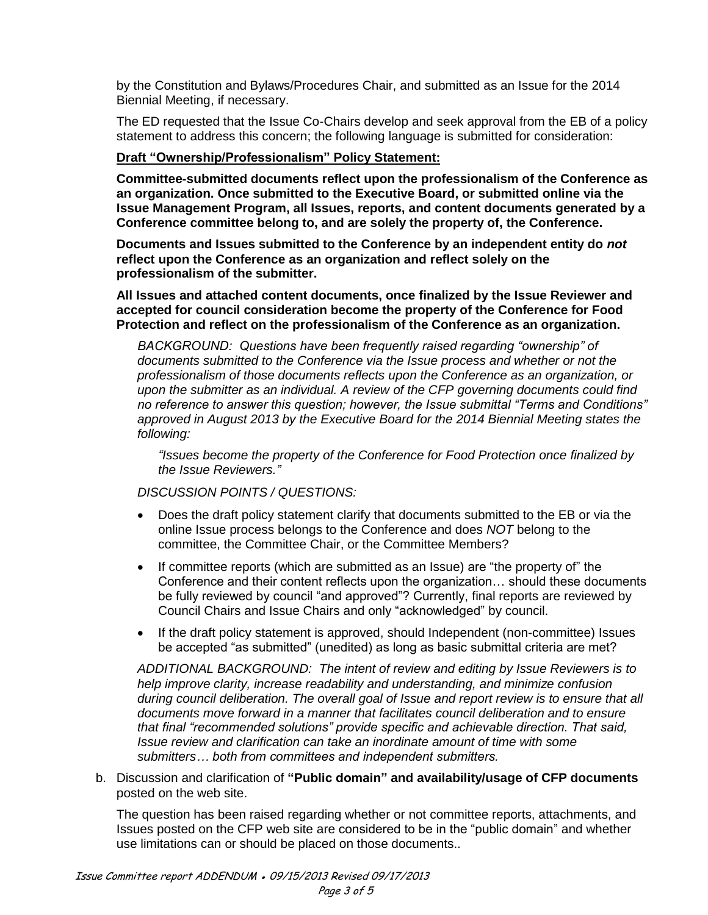by the Constitution and Bylaws/Procedures Chair, and submitted as an Issue for the 2014 Biennial Meeting, if necessary.

The ED requested that the Issue Co-Chairs develop and seek approval from the EB of a policy statement to address this concern; the following language is submitted for consideration:

#### **Draft "Ownership/Professionalism" Policy Statement:**

**Committee-submitted documents reflect upon the professionalism of the Conference as an organization. Once submitted to the Executive Board, or submitted online via the Issue Management Program, all Issues, reports, and content documents generated by a Conference committee belong to, and are solely the property of, the Conference.** 

**Documents and Issues submitted to the Conference by an independent entity do** *not* **reflect upon the Conference as an organization and reflect solely on the professionalism of the submitter.** 

**All Issues and attached content documents, once finalized by the Issue Reviewer and accepted for council consideration become the property of the Conference for Food Protection and reflect on the professionalism of the Conference as an organization.** 

*BACKGROUND: Questions have been frequently raised regarding "ownership" of documents submitted to the Conference via the Issue process and whether or not the professionalism of those documents reflects upon the Conference as an organization, or upon the submitter as an individual. A review of the CFP governing documents could find no reference to answer this question; however, the Issue submittal "Terms and Conditions" approved in August 2013 by the Executive Board for the 2014 Biennial Meeting states the following:* 

*"Issues become the property of the Conference for Food Protection once finalized by the Issue Reviewers."*

*DISCUSSION POINTS / QUESTIONS:*

- Does the draft policy statement clarify that documents submitted to the EB or via the online Issue process belongs to the Conference and does *NOT* belong to the committee, the Committee Chair, or the Committee Members?
- If committee reports (which are submitted as an Issue) are "the property of" the Conference and their content reflects upon the organization… should these documents be fully reviewed by council "and approved"? Currently, final reports are reviewed by Council Chairs and Issue Chairs and only "acknowledged" by council.
- If the draft policy statement is approved, should Independent (non-committee) Issues be accepted "as submitted" (unedited) as long as basic submittal criteria are met?

*ADDITIONAL BACKGROUND: The intent of review and editing by Issue Reviewers is to help improve clarity, increase readability and understanding, and minimize confusion during council deliberation. The overall goal of Issue and report review is to ensure that all documents move forward in a manner that facilitates council deliberation and to ensure that final "recommended solutions" provide specific and achievable direction. That said, Issue review and clarification can take an inordinate amount of time with some submitters… both from committees and independent submitters.* 

b. Discussion and clarification of **"Public domain" and availability/usage of CFP documents** posted on the web site.

The question has been raised regarding whether or not committee reports, attachments, and Issues posted on the CFP web site are considered to be in the "public domain" and whether use limitations can or should be placed on those documents..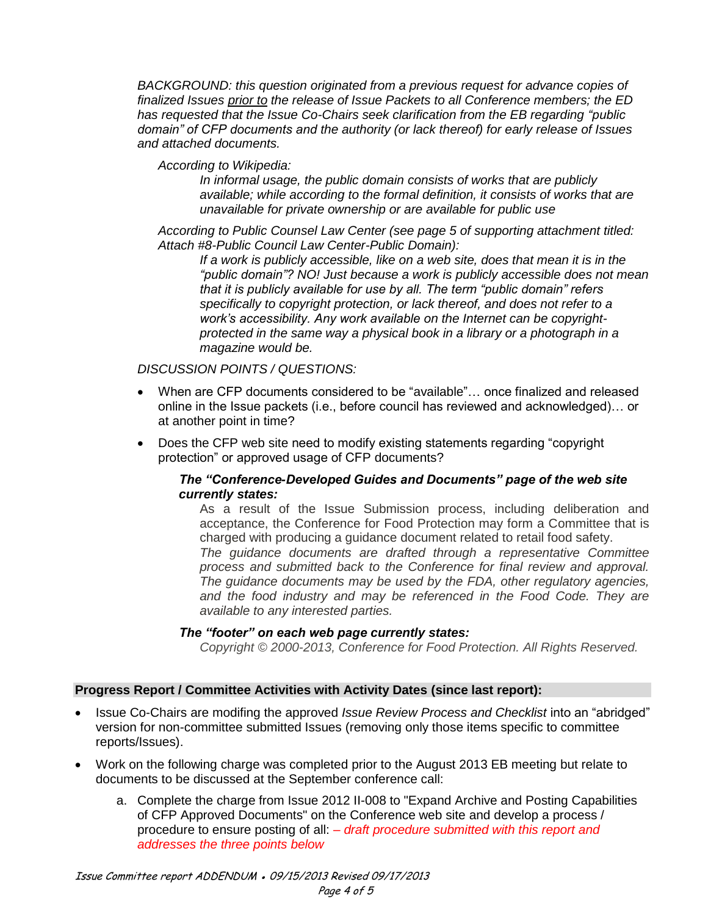*BACKGROUND: this question originated from a previous request for advance copies of finalized Issues prior to the release of Issue Packets to all Conference members; the ED has requested that the Issue Co-Chairs seek clarification from the EB regarding "public domain" of CFP documents and the authority (or lack thereof) for early release of Issues and attached documents.*

## *According to Wikipedia:*

*In informal usage, the public domain consists of works that are publicly available; while according to the formal definition, it consists of works that are unavailable for [private ownership](http://en.wikipedia.org/wiki/Private_ownership) or are available for public use*

*According to Public Counsel Law Center (see page 5 of supporting attachment titled: Attach #8-Public Council Law Center-Public Domain):*

*If a work is publicly accessible, like on a web site, does that mean it is in the "public domain"? NO! Just because a work is publicly accessible does not mean that it is publicly available for use by all. The term "public domain" refers specifically to copyright protection, or lack thereof, and does not refer to a work's accessibility. Any work available on the Internet can be copyrightprotected in the same way a physical book in a library or a photograph in a magazine would be.*

## *DISCUSSION POINTS / QUESTIONS:*

- When are CFP documents considered to be "available"… once finalized and released online in the Issue packets (i.e., before council has reviewed and acknowledged)… or at another point in time?
- Does the CFP web site need to modify existing statements regarding "copyright" protection" or approved usage of CFP documents?

## *The "Conference-Developed Guides and Documents" page of the web site currently states:*

As a result of the Issue Submission process, including deliberation and acceptance, the Conference for Food Protection may form a Committee that is charged with producing a guidance document related to retail food safety. *The guidance documents are drafted through a representative Committee process and submitted back to the Conference for final review and approval. The guidance documents may be used by the FDA, other regulatory agencies, and the food industry and may be referenced in the Food Code. They are available to any interested parties.*

#### *The "footer" on each web page currently states:*

*Copyright © 2000-2013, Conference for Food Protection. All Rights Reserved.*

## **Progress Report / Committee Activities with Activity Dates (since last report):**

- Issue Co-Chairs are modifing the approved *Issue Review Process and Checklist* into an "abridged" version for non-committee submitted Issues (removing only those items specific to committee reports/Issues).
- Work on the following charge was completed prior to the August 2013 EB meeting but relate to documents to be discussed at the September conference call:
	- a. Complete the charge from Issue 2012 II-008 to "Expand Archive and Posting Capabilities of CFP Approved Documents" on the Conference web site and develop a process / procedure to ensure posting of all: – *draft procedure submitted with this report and addresses the three points below*